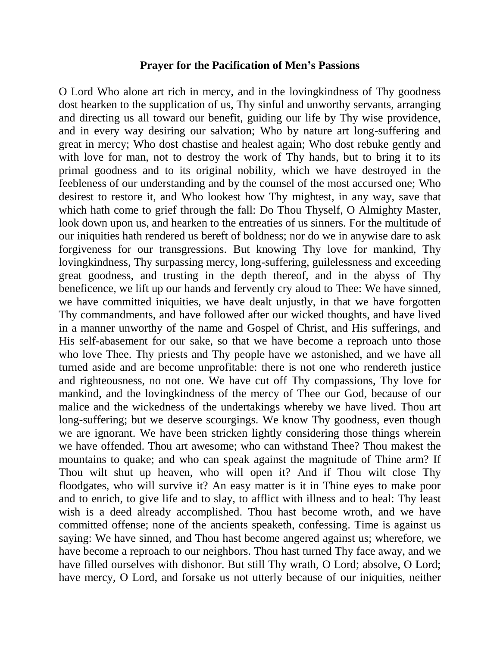## **Prayer for the Pacification of Men's Passions**

O Lord Who alone art rich in mercy, and in the lovingkindness of Thy goodness dost hearken to the supplication of us, Thy sinful and unworthy servants, arranging and directing us all toward our benefit, guiding our life by Thy wise providence, and in every way desiring our salvation; Who by nature art long-suffering and great in mercy; Who dost chastise and healest again; Who dost rebuke gently and with love for man, not to destroy the work of Thy hands, but to bring it to its primal goodness and to its original nobility, which we have destroyed in the feebleness of our understanding and by the counsel of the most accursed one; Who desirest to restore it, and Who lookest how Thy mightest, in any way, save that which hath come to grief through the fall: Do Thou Thyself, O Almighty Master, look down upon us, and hearken to the entreaties of us sinners. For the multitude of our iniquities hath rendered us bereft of boldness; nor do we in anywise dare to ask forgiveness for our transgressions. But knowing Thy love for mankind, Thy lovingkindness, Thy surpassing mercy, long-suffering, guilelessness and exceeding great goodness, and trusting in the depth thereof, and in the abyss of Thy beneficence, we lift up our hands and fervently cry aloud to Thee: We have sinned, we have committed iniquities, we have dealt unjustly, in that we have forgotten Thy commandments, and have followed after our wicked thoughts, and have lived in a manner unworthy of the name and Gospel of Christ, and His sufferings, and His self-abasement for our sake, so that we have become a reproach unto those who love Thee. Thy priests and Thy people have we astonished, and we have all turned aside and are become unprofitable: there is not one who rendereth justice and righteousness, no not one. We have cut off Thy compassions, Thy love for mankind, and the lovingkindness of the mercy of Thee our God, because of our malice and the wickedness of the undertakings whereby we have lived. Thou art long-suffering; but we deserve scourgings. We know Thy goodness, even though we are ignorant. We have been stricken lightly considering those things wherein we have offended. Thou art awesome; who can withstand Thee? Thou makest the mountains to quake; and who can speak against the magnitude of Thine arm? If Thou wilt shut up heaven, who will open it? And if Thou wilt close Thy floodgates, who will survive it? An easy matter is it in Thine eyes to make poor and to enrich, to give life and to slay, to afflict with illness and to heal: Thy least wish is a deed already accomplished. Thou hast become wroth, and we have committed offense; none of the ancients speaketh, confessing. Time is against us saying: We have sinned, and Thou hast become angered against us; wherefore, we have become a reproach to our neighbors. Thou hast turned Thy face away, and we have filled ourselves with dishonor. But still Thy wrath, O Lord; absolve, O Lord; have mercy, O Lord, and forsake us not utterly because of our iniquities, neither